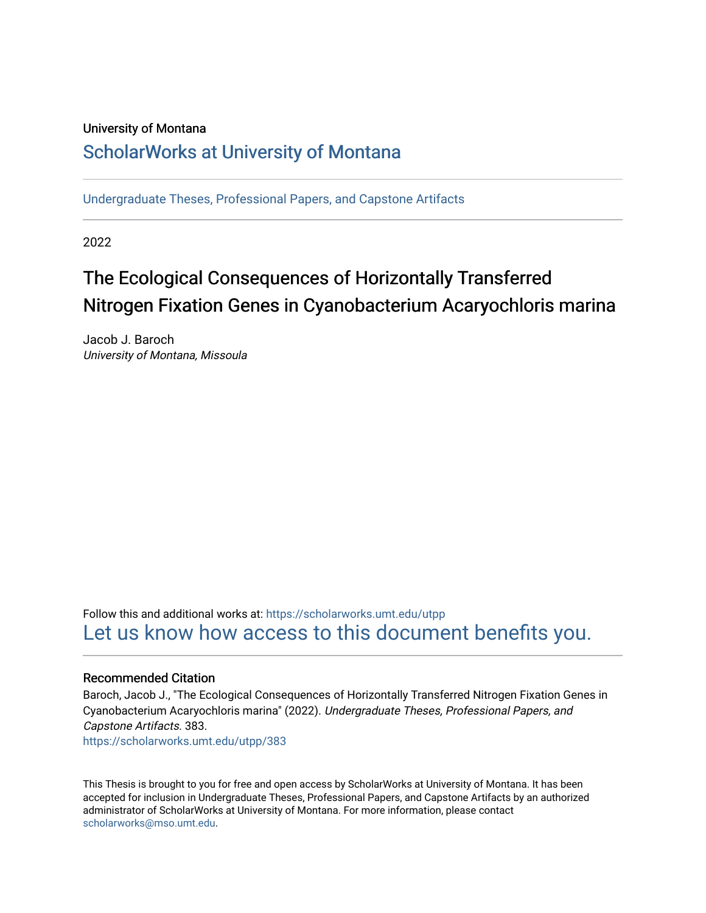# University of Montana

# [ScholarWorks at University of Montana](https://scholarworks.umt.edu/)

[Undergraduate Theses, Professional Papers, and Capstone Artifacts](https://scholarworks.umt.edu/utpp)

2022

# The Ecological Consequences of Horizontally Transferred Nitrogen Fixation Genes in Cyanobacterium Acaryochloris marina

Jacob J. Baroch University of Montana, Missoula

Follow this and additional works at: [https://scholarworks.umt.edu/utpp](https://scholarworks.umt.edu/utpp?utm_source=scholarworks.umt.edu%2Futpp%2F383&utm_medium=PDF&utm_campaign=PDFCoverPages) [Let us know how access to this document benefits you.](https://goo.gl/forms/s2rGfXOLzz71qgsB2) 

# Recommended Citation

Baroch, Jacob J., "The Ecological Consequences of Horizontally Transferred Nitrogen Fixation Genes in Cyanobacterium Acaryochloris marina" (2022). Undergraduate Theses, Professional Papers, and Capstone Artifacts. 383. [https://scholarworks.umt.edu/utpp/383](https://scholarworks.umt.edu/utpp/383?utm_source=scholarworks.umt.edu%2Futpp%2F383&utm_medium=PDF&utm_campaign=PDFCoverPages)

This Thesis is brought to you for free and open access by ScholarWorks at University of Montana. It has been accepted for inclusion in Undergraduate Theses, Professional Papers, and Capstone Artifacts by an authorized administrator of ScholarWorks at University of Montana. For more information, please contact

[scholarworks@mso.umt.edu.](mailto:scholarworks@mso.umt.edu)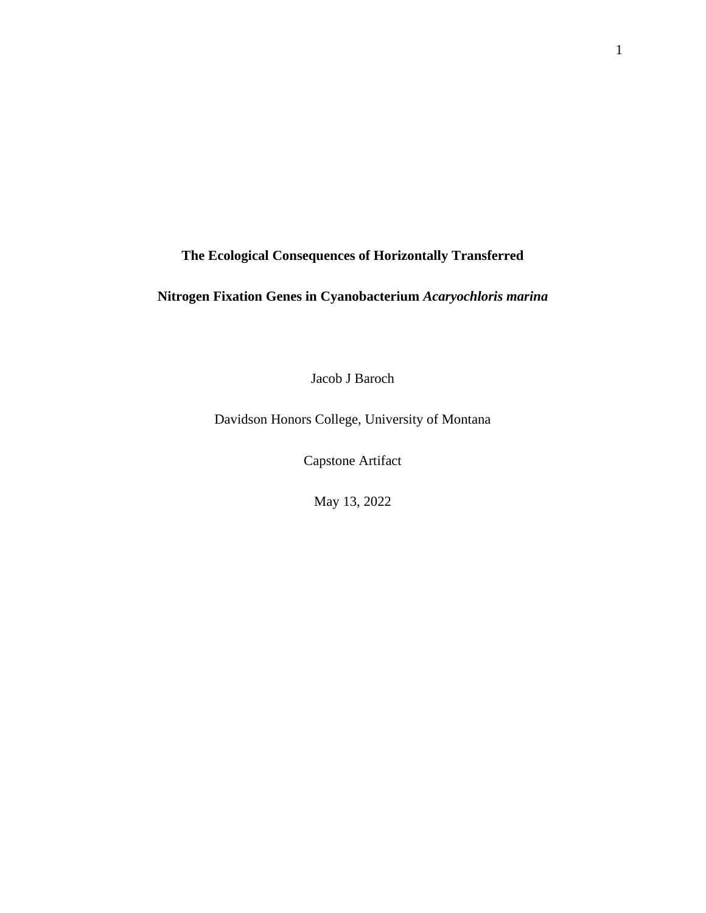**The Ecological Consequences of Horizontally Transferred** 

# **Nitrogen Fixation Genes in Cyanobacterium** *Acaryochloris marina*

Jacob J Baroch

Davidson Honors College, University of Montana

Capstone Artifact

May 13, 2022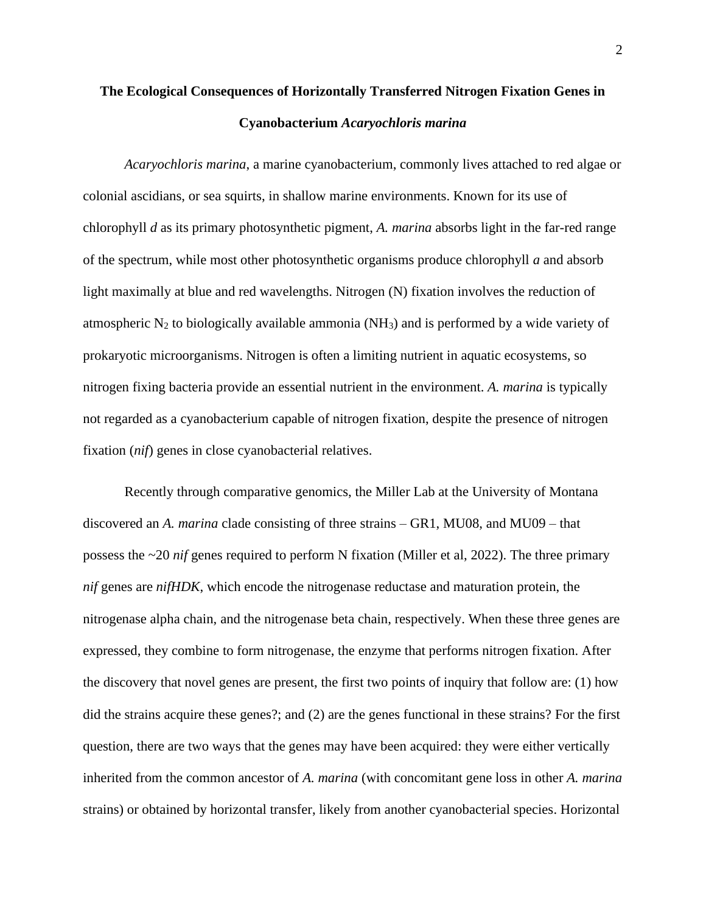# **The Ecological Consequences of Horizontally Transferred Nitrogen Fixation Genes in Cyanobacterium** *Acaryochloris marina*

*Acaryochloris marina*, a marine cyanobacterium, commonly lives attached to red algae or colonial ascidians, or sea squirts, in shallow marine environments. Known for its use of chlorophyll *d* as its primary photosynthetic pigment, *A. marina* absorbs light in the far-red range of the spectrum, while most other photosynthetic organisms produce chlorophyll *a* and absorb light maximally at blue and red wavelengths. Nitrogen (N) fixation involves the reduction of atmospheric  $N_2$  to biologically available ammonia (NH<sub>3</sub>) and is performed by a wide variety of prokaryotic microorganisms. Nitrogen is often a limiting nutrient in aquatic ecosystems, so nitrogen fixing bacteria provide an essential nutrient in the environment. *A. marina* is typically not regarded as a cyanobacterium capable of nitrogen fixation, despite the presence of nitrogen fixation (*nif*) genes in close cyanobacterial relatives.

Recently through comparative genomics, the Miller Lab at the University of Montana discovered an *A. marina* clade consisting of three strains – GR1, MU08, and MU09 – that possess the ~20 *nif* genes required to perform N fixation (Miller et al, 2022). The three primary *nif* genes are *nifHDK*, which encode the nitrogenase reductase and maturation protein, the nitrogenase alpha chain, and the nitrogenase beta chain, respectively. When these three genes are expressed, they combine to form nitrogenase, the enzyme that performs nitrogen fixation. After the discovery that novel genes are present, the first two points of inquiry that follow are: (1) how did the strains acquire these genes?; and (2) are the genes functional in these strains? For the first question, there are two ways that the genes may have been acquired: they were either vertically inherited from the common ancestor of *A. marina* (with concomitant gene loss in other *A. marina* strains) or obtained by horizontal transfer, likely from another cyanobacterial species. Horizontal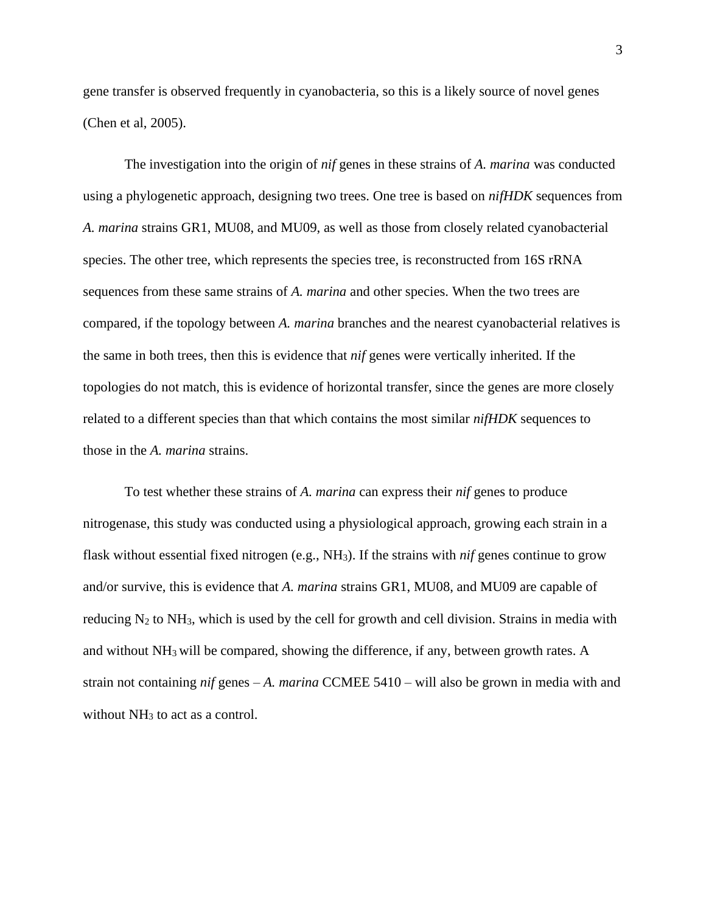gene transfer is observed frequently in cyanobacteria, so this is a likely source of novel genes (Chen et al, 2005).

The investigation into the origin of *nif* genes in these strains of *A. marina* was conducted using a phylogenetic approach, designing two trees. One tree is based on *nifHDK* sequences from *A. marina* strains GR1, MU08, and MU09, as well as those from closely related cyanobacterial species. The other tree, which represents the species tree, is reconstructed from 16S rRNA sequences from these same strains of *A. marina* and other species. When the two trees are compared, if the topology between *A. marina* branches and the nearest cyanobacterial relatives is the same in both trees, then this is evidence that *nif* genes were vertically inherited. If the topologies do not match, this is evidence of horizontal transfer, since the genes are more closely related to a different species than that which contains the most similar *nifHDK* sequences to those in the *A. marina* strains.

To test whether these strains of *A. marina* can express their *nif* genes to produce nitrogenase, this study was conducted using a physiological approach, growing each strain in a flask without essential fixed nitrogen (e.g., NH3). If the strains with *nif* genes continue to grow and/or survive, this is evidence that *A. marina* strains GR1, MU08, and MU09 are capable of reducing  $N_2$  to  $NH_3$ , which is used by the cell for growth and cell division. Strains in media with and without NH3 will be compared, showing the difference, if any, between growth rates. A strain not containing *nif* genes – *A. marina* CCMEE 5410 – will also be grown in media with and without  $NH<sub>3</sub>$  to act as a control.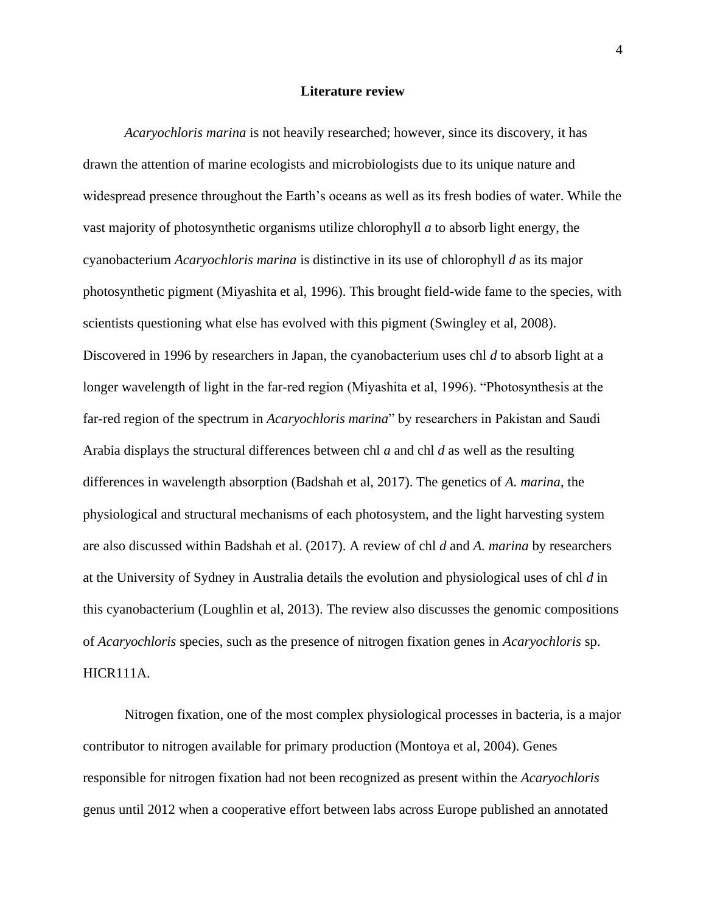### **Literature review**

*Acaryochloris marina* is not heavily researched; however, since its discovery, it has drawn the attention of marine ecologists and microbiologists due to its unique nature and widespread presence throughout the Earth's oceans as well as its fresh bodies of water. While the vast majority of photosynthetic organisms utilize chlorophyll *a* to absorb light energy, the cyanobacterium *Acaryochloris marina* is distinctive in its use of chlorophyll *d* as its major photosynthetic pigment (Miyashita et al, 1996). This brought field-wide fame to the species, with scientists questioning what else has evolved with this pigment (Swingley et al, 2008). Discovered in 1996 by researchers in Japan, the cyanobacterium uses chl *d* to absorb light at a longer wavelength of light in the far-red region (Miyashita et al, 1996). "Photosynthesis at the far-red region of the spectrum in *Acaryochloris marina*" by researchers in Pakistan and Saudi Arabia displays the structural differences between chl *a* and chl *d* as well as the resulting differences in wavelength absorption (Badshah et al, 2017). The genetics of *A. marina*, the physiological and structural mechanisms of each photosystem, and the light harvesting system are also discussed within Badshah et al. (2017). A review of chl *d* and *A. marina* by researchers at the University of Sydney in Australia details the evolution and physiological uses of chl *d* in this cyanobacterium (Loughlin et al, 2013). The review also discusses the genomic compositions of *Acaryochloris* species, such as the presence of nitrogen fixation genes in *Acaryochloris* sp. HICR111A.

Nitrogen fixation, one of the most complex physiological processes in bacteria, is a major contributor to nitrogen available for primary production (Montoya et al, 2004). Genes responsible for nitrogen fixation had not been recognized as present within the *Acaryochloris* genus until 2012 when a cooperative effort between labs across Europe published an annotated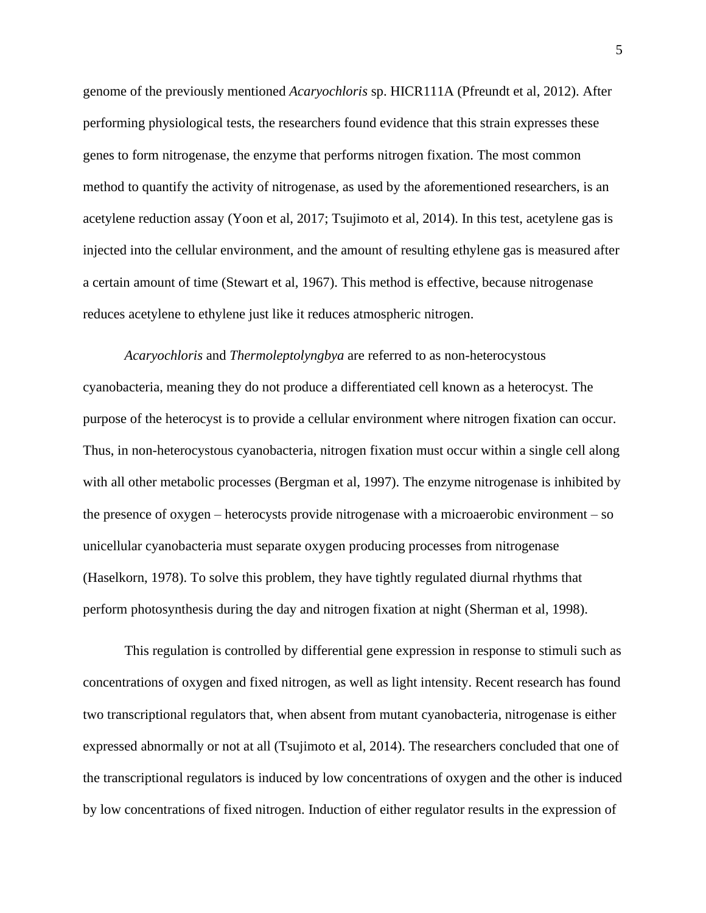genome of the previously mentioned *Acaryochloris* sp. HICR111A (Pfreundt et al, 2012). After performing physiological tests, the researchers found evidence that this strain expresses these genes to form nitrogenase, the enzyme that performs nitrogen fixation. The most common method to quantify the activity of nitrogenase, as used by the aforementioned researchers, is an acetylene reduction assay (Yoon et al, 2017; Tsujimoto et al, 2014). In this test, acetylene gas is injected into the cellular environment, and the amount of resulting ethylene gas is measured after a certain amount of time (Stewart et al, 1967). This method is effective, because nitrogenase reduces acetylene to ethylene just like it reduces atmospheric nitrogen.

*Acaryochloris* and *Thermoleptolyngbya* are referred to as non-heterocystous cyanobacteria, meaning they do not produce a differentiated cell known as a heterocyst. The purpose of the heterocyst is to provide a cellular environment where nitrogen fixation can occur. Thus, in non-heterocystous cyanobacteria, nitrogen fixation must occur within a single cell along with all other metabolic processes (Bergman et al, 1997). The enzyme nitrogenase is inhibited by the presence of oxygen – heterocysts provide nitrogenase with a microaerobic environment – so unicellular cyanobacteria must separate oxygen producing processes from nitrogenase (Haselkorn, 1978). To solve this problem, they have tightly regulated diurnal rhythms that perform photosynthesis during the day and nitrogen fixation at night (Sherman et al, 1998).

This regulation is controlled by differential gene expression in response to stimuli such as concentrations of oxygen and fixed nitrogen, as well as light intensity. Recent research has found two transcriptional regulators that, when absent from mutant cyanobacteria, nitrogenase is either expressed abnormally or not at all (Tsujimoto et al, 2014). The researchers concluded that one of the transcriptional regulators is induced by low concentrations of oxygen and the other is induced by low concentrations of fixed nitrogen. Induction of either regulator results in the expression of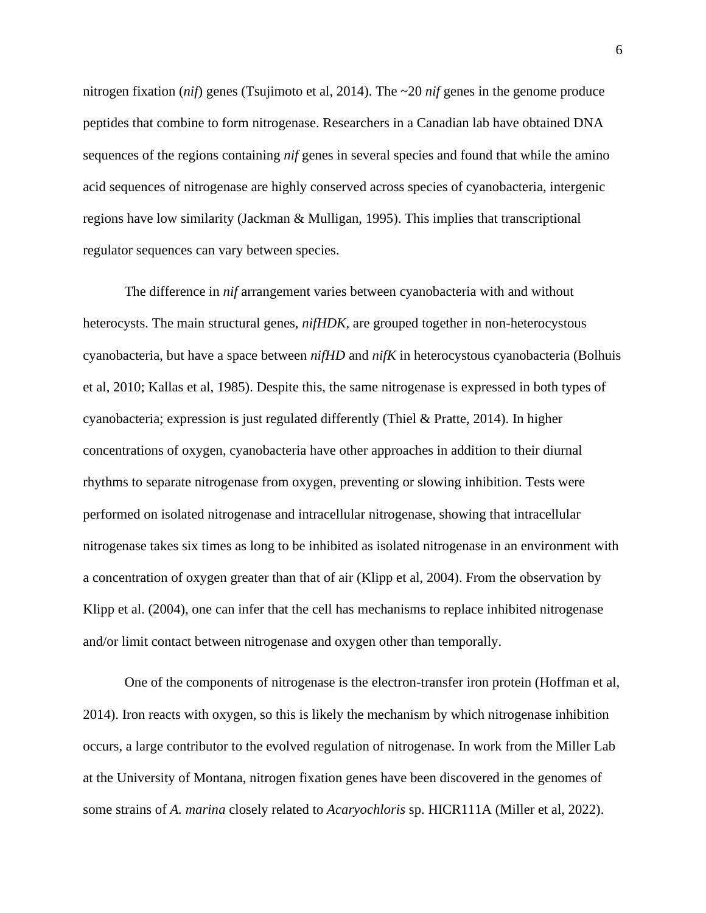nitrogen fixation (*nif*) genes (Tsujimoto et al, 2014). The ~20 *nif* genes in the genome produce peptides that combine to form nitrogenase. Researchers in a Canadian lab have obtained DNA sequences of the regions containing *nif* genes in several species and found that while the amino acid sequences of nitrogenase are highly conserved across species of cyanobacteria, intergenic regions have low similarity (Jackman & Mulligan, 1995). This implies that transcriptional regulator sequences can vary between species.

The difference in *nif* arrangement varies between cyanobacteria with and without heterocysts. The main structural genes, *nifHDK*, are grouped together in non-heterocystous cyanobacteria, but have a space between *nifHD* and *nifK* in heterocystous cyanobacteria (Bolhuis et al, 2010; Kallas et al, 1985). Despite this, the same nitrogenase is expressed in both types of cyanobacteria; expression is just regulated differently (Thiel & Pratte, 2014). In higher concentrations of oxygen, cyanobacteria have other approaches in addition to their diurnal rhythms to separate nitrogenase from oxygen, preventing or slowing inhibition. Tests were performed on isolated nitrogenase and intracellular nitrogenase, showing that intracellular nitrogenase takes six times as long to be inhibited as isolated nitrogenase in an environment with a concentration of oxygen greater than that of air (Klipp et al, 2004). From the observation by Klipp et al. (2004), one can infer that the cell has mechanisms to replace inhibited nitrogenase and/or limit contact between nitrogenase and oxygen other than temporally.

One of the components of nitrogenase is the electron-transfer iron protein (Hoffman et al, 2014). Iron reacts with oxygen, so this is likely the mechanism by which nitrogenase inhibition occurs, a large contributor to the evolved regulation of nitrogenase. In work from the Miller Lab at the University of Montana, nitrogen fixation genes have been discovered in the genomes of some strains of *A. marina* closely related to *Acaryochloris* sp. HICR111A (Miller et al, 2022).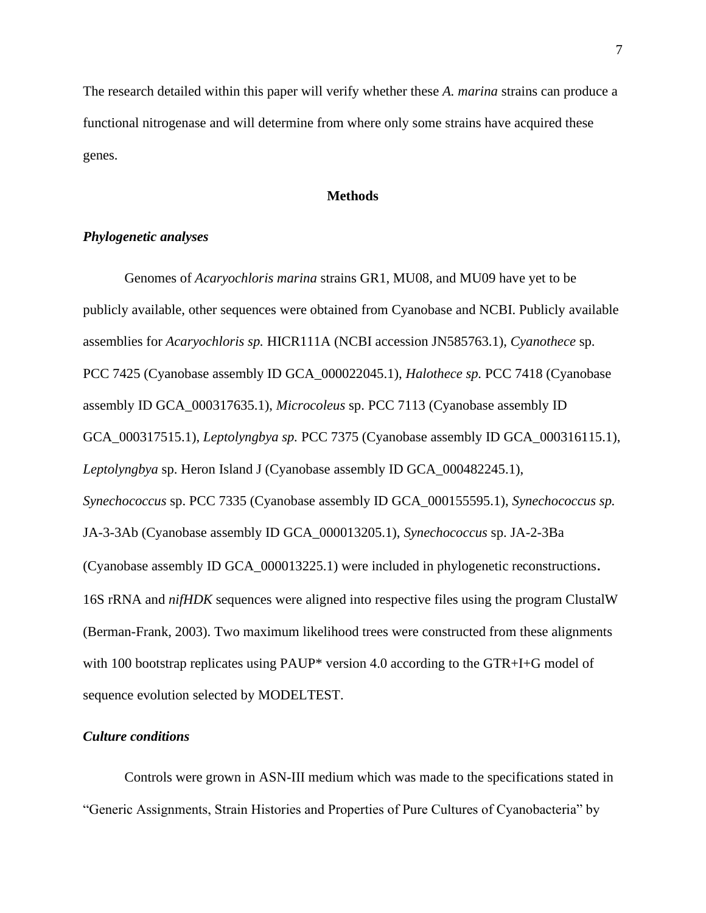The research detailed within this paper will verify whether these *A. marina* strains can produce a functional nitrogenase and will determine from where only some strains have acquired these genes.

# **Methods**

# *Phylogenetic analyses*

Genomes of *Acaryochloris marina* strains GR1, MU08, and MU09 have yet to be publicly available, other sequences were obtained from Cyanobase and NCBI. Publicly available assemblies for *Acaryochloris sp.* HICR111A (NCBI accession JN585763.1), *Cyanothece* sp. PCC 7425 (Cyanobase assembly ID GCA\_000022045.1), *Halothece sp.* PCC 7418 (Cyanobase assembly ID GCA\_000317635.1), *Microcoleus* sp. PCC 7113 (Cyanobase assembly ID GCA\_000317515.1), *Leptolyngbya sp.* PCC 7375 (Cyanobase assembly ID GCA\_000316115.1), *Leptolyngbya* sp. Heron Island J (Cyanobase assembly ID GCA\_000482245.1), *Synechococcus* sp. PCC 7335 (Cyanobase assembly ID GCA\_000155595.1), *Synechococcus sp.*  JA-3-3Ab (Cyanobase assembly ID GCA\_000013205.1), *Synechococcus* sp. JA-2-3Ba (Cyanobase assembly ID GCA\_000013225.1) were included in phylogenetic reconstructions. 16S rRNA and *nifHDK* sequences were aligned into respective files using the program ClustalW (Berman-Frank, 2003). Two maximum likelihood trees were constructed from these alignments with 100 bootstrap replicates using PAUP\* version 4.0 according to the GTR+I+G model of sequence evolution selected by MODELTEST.

# *Culture conditions*

Controls were grown in ASN-III medium which was made to the specifications stated in "Generic Assignments, Strain Histories and Properties of Pure Cultures of Cyanobacteria" by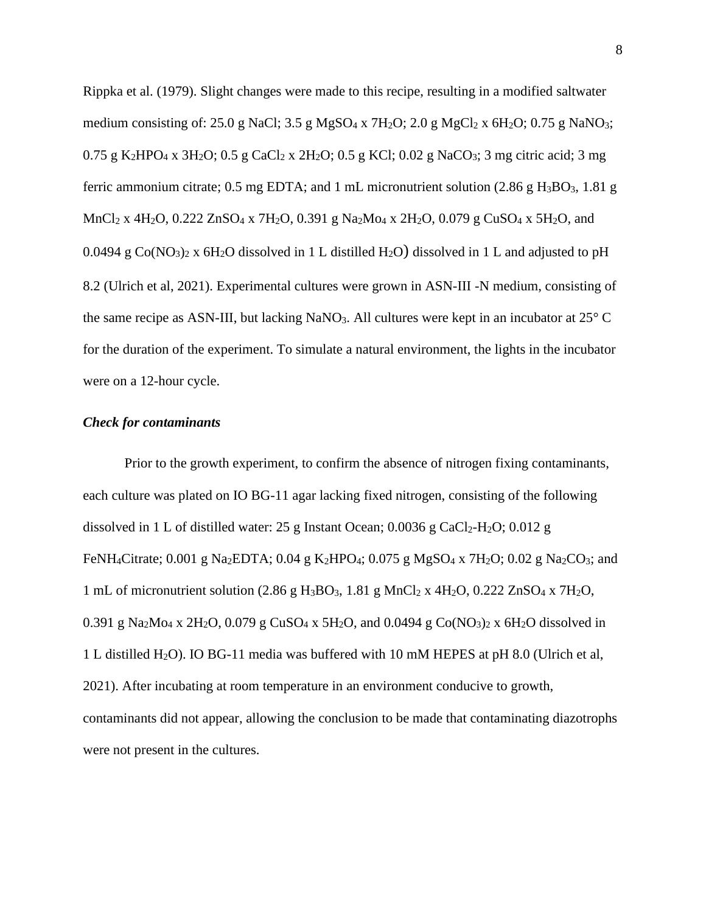Rippka et al. (1979). Slight changes were made to this recipe, resulting in a modified saltwater medium consisting of: 25.0 g NaCl; 3.5 g MgSO<sub>4</sub> x 7H<sub>2</sub>O; 2.0 g MgCl<sub>2</sub> x 6H<sub>2</sub>O; 0.75 g NaNO<sub>3</sub>; 0.75 g K<sub>2</sub>HPO<sub>4</sub> x 3H<sub>2</sub>O; 0.5 g CaCl<sub>2</sub> x 2H<sub>2</sub>O; 0.5 g KCl; 0.02 g NaCO<sub>3</sub>; 3 mg citric acid; 3 mg ferric ammonium citrate; 0.5 mg EDTA; and 1 mL micronutrient solution  $(2.86 \text{ g H}_3BO_3, 1.81 \text{ g})$ MnCl<sub>2</sub> x 4H<sub>2</sub>O, 0.222 ZnSO<sub>4</sub> x 7H<sub>2</sub>O, 0.391 g Na<sub>2</sub>M<sub>O4</sub> x 2H<sub>2</sub>O, 0.079 g CuSO<sub>4</sub> x 5H<sub>2</sub>O, and 0.0494 g  $Co(NO<sub>3</sub>)<sub>2</sub>$  x 6H<sub>2</sub>O dissolved in 1 L distilled H<sub>2</sub>O) dissolved in 1 L and adjusted to pH 8.2 (Ulrich et al, 2021). Experimental cultures were grown in ASN-III -N medium, consisting of the same recipe as ASN-III, but lacking NaNO<sub>3</sub>. All cultures were kept in an incubator at  $25^{\circ}$  C for the duration of the experiment. To simulate a natural environment, the lights in the incubator were on a 12-hour cycle.

### *Check for contaminants*

Prior to the growth experiment, to confirm the absence of nitrogen fixing contaminants, each culture was plated on IO BG-11 agar lacking fixed nitrogen, consisting of the following dissolved in 1 L of distilled water: 25 g Instant Ocean;  $0.0036$  g CaCl<sub>2</sub>-H<sub>2</sub>O;  $0.012$  g FeNH<sub>4</sub>Citrate; 0.001 g Na<sub>2</sub>EDTA; 0.04 g K<sub>2</sub>HPO<sub>4</sub>; 0.075 g MgSO<sub>4</sub> x 7H<sub>2</sub>O; 0.02 g Na<sub>2</sub>CO<sub>3</sub>; and 1 mL of micronutrient solution  $(2.86 \text{ g H}_3\text{BO}_3, 1.81 \text{ g MnCl}_2 \times 4\text{H}_2\text{O}, 0.222 \text{ ZnSO}_4 \times 7\text{H}_2\text{O},$ 0.391 g Na<sub>2</sub>M<sub>O4</sub> x 2H<sub>2</sub>O, 0.079 g CuSO<sub>4</sub> x 5H<sub>2</sub>O, and 0.0494 g Co(NO<sub>3</sub>)<sub>2</sub> x 6H<sub>2</sub>O dissolved in 1 L distilled H2O). IO BG-11 media was buffered with 10 mM HEPES at pH 8.0 (Ulrich et al, 2021). After incubating at room temperature in an environment conducive to growth, contaminants did not appear, allowing the conclusion to be made that contaminating diazotrophs were not present in the cultures.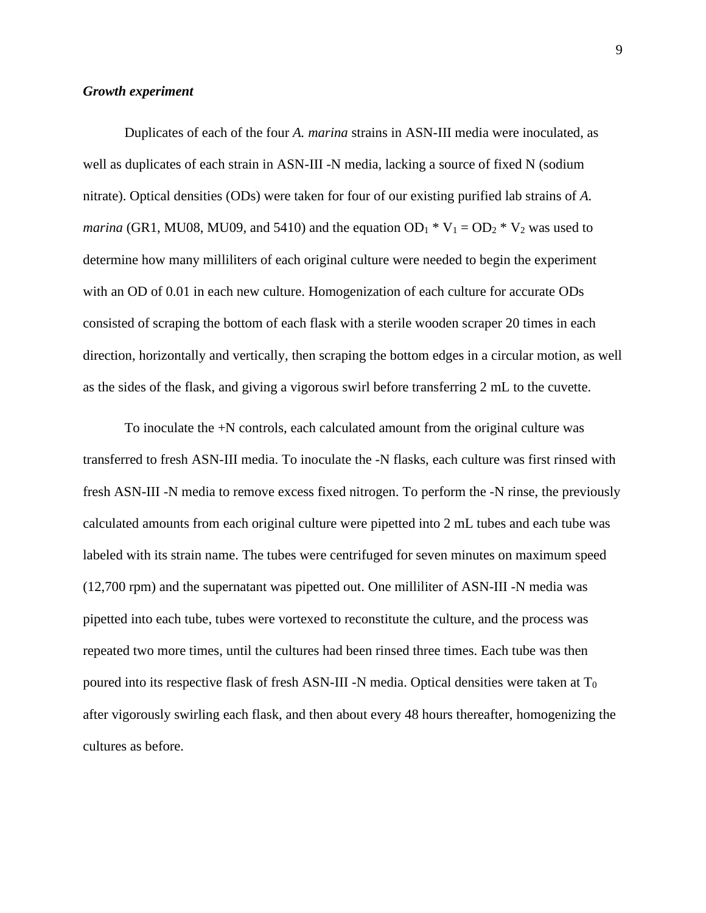#### *Growth experiment*

Duplicates of each of the four *A. marina* strains in ASN-III media were inoculated, as well as duplicates of each strain in ASN-III -N media, lacking a source of fixed N (sodium nitrate). Optical densities (ODs) were taken for four of our existing purified lab strains of *A. marina* (GR1, MU08, MU09, and 5410) and the equation  $OD_1 * V_1 = OD_2 * V_2$  was used to determine how many milliliters of each original culture were needed to begin the experiment with an OD of 0.01 in each new culture. Homogenization of each culture for accurate ODs consisted of scraping the bottom of each flask with a sterile wooden scraper 20 times in each direction, horizontally and vertically, then scraping the bottom edges in a circular motion, as well as the sides of the flask, and giving a vigorous swirl before transferring 2 mL to the cuvette.

To inoculate the +N controls, each calculated amount from the original culture was transferred to fresh ASN-III media. To inoculate the -N flasks, each culture was first rinsed with fresh ASN-III -N media to remove excess fixed nitrogen. To perform the -N rinse, the previously calculated amounts from each original culture were pipetted into 2 mL tubes and each tube was labeled with its strain name. The tubes were centrifuged for seven minutes on maximum speed (12,700 rpm) and the supernatant was pipetted out. One milliliter of ASN-III -N media was pipetted into each tube, tubes were vortexed to reconstitute the culture, and the process was repeated two more times, until the cultures had been rinsed three times. Each tube was then poured into its respective flask of fresh ASN-III -N media. Optical densities were taken at  $T_0$ after vigorously swirling each flask, and then about every 48 hours thereafter, homogenizing the cultures as before.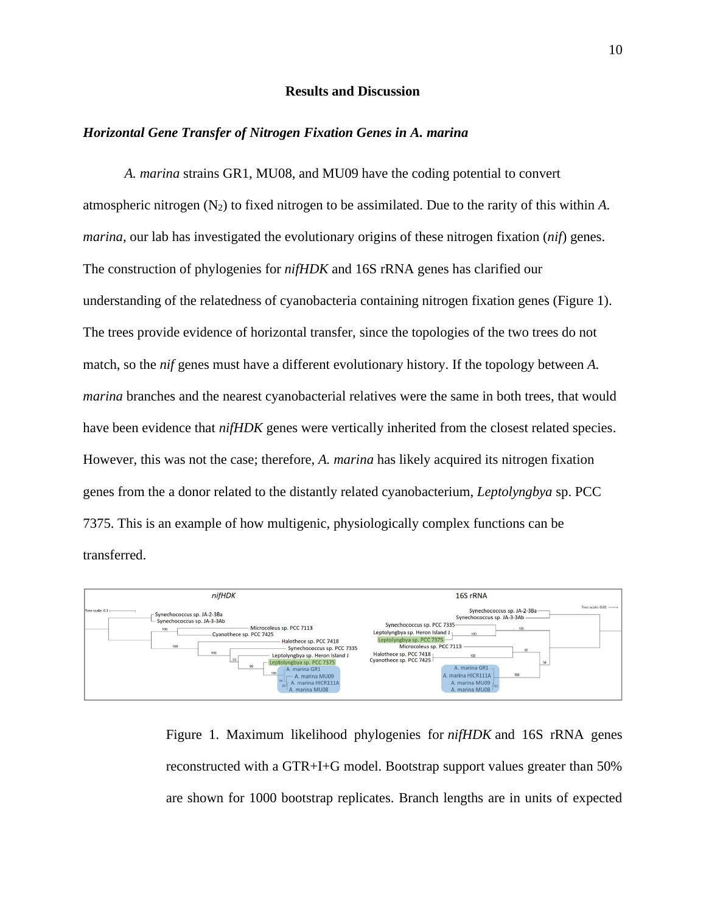# **Results and Discussion**

#### *Horizontal Gene Transfer of Nitrogen Fixation Genes in A. marina*

*A. marina* strains GR1, MU08, and MU09 have the coding potential to convert atmospheric nitrogen  $(N_2)$  to fixed nitrogen to be assimilated. Due to the rarity of this within A. *marina*, our lab has investigated the evolutionary origins of these nitrogen fixation (*nif*) genes. The construction of phylogenies for *nifHDK* and 16S rRNA genes has clarified our understanding of the relatedness of cyanobacteria containing nitrogen fixation genes (Figure 1). The trees provide evidence of horizontal transfer, since the topologies of the two trees do not match, so the *nif* genes must have a different evolutionary history. If the topology between *A. marina* branches and the nearest cyanobacterial relatives were the same in both trees, that would have been evidence that *nifHDK* genes were vertically inherited from the closest related species. However, this was not the case; therefore, *A. marina* has likely acquired its nitrogen fixation genes from the a donor related to the distantly related cyanobacterium, *Leptolyngbya* sp. PCC 7375. This is an example of how multigenic, physiologically complex functions can be transferred.



Figure 1. Maximum likelihood phylogenies for *nifHDK* and 16S rRNA genes reconstructed with a GTR+I+G model. Bootstrap support values greater than 50% are shown for 1000 bootstrap replicates. Branch lengths are in units of expected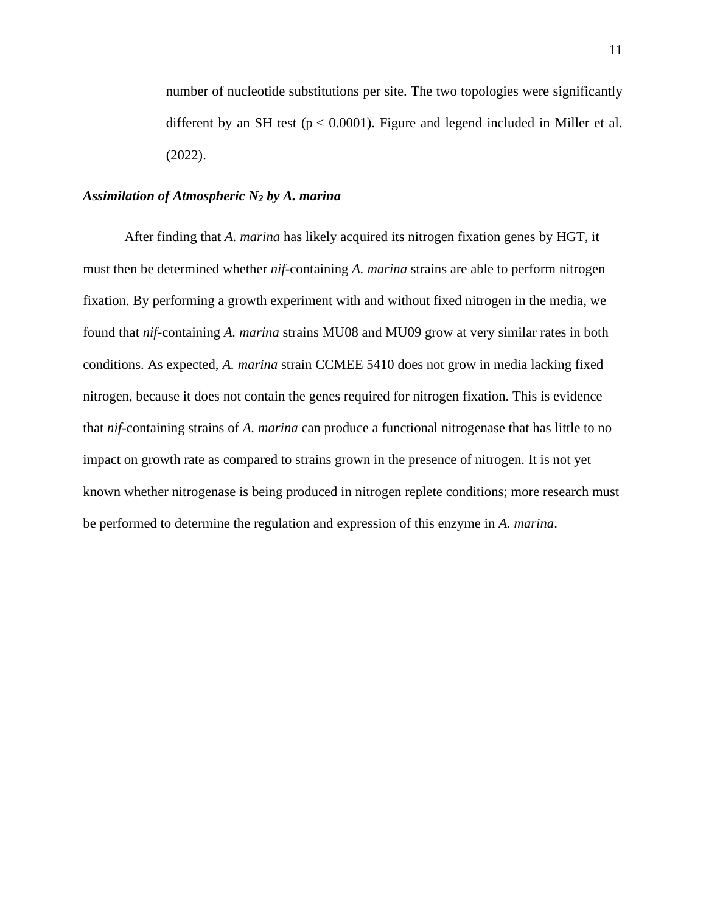number of nucleotide substitutions per site. The two topologies were significantly different by an SH test ( $p < 0.0001$ ). Figure and legend included in Miller et al. (2022).

# *Assimilation of Atmospheric N<sup>2</sup> by A. marina*

After finding that *A. marina* has likely acquired its nitrogen fixation genes by HGT, it must then be determined whether *nif*-containing *A. marina* strains are able to perform nitrogen fixation. By performing a growth experiment with and without fixed nitrogen in the media, we found that *nif*-containing *A. marina* strains MU08 and MU09 grow at very similar rates in both conditions. As expected, *A. marina* strain CCMEE 5410 does not grow in media lacking fixed nitrogen, because it does not contain the genes required for nitrogen fixation. This is evidence that *nif*-containing strains of *A. marina* can produce a functional nitrogenase that has little to no impact on growth rate as compared to strains grown in the presence of nitrogen. It is not yet known whether nitrogenase is being produced in nitrogen replete conditions; more research must be performed to determine the regulation and expression of this enzyme in *A. marina*.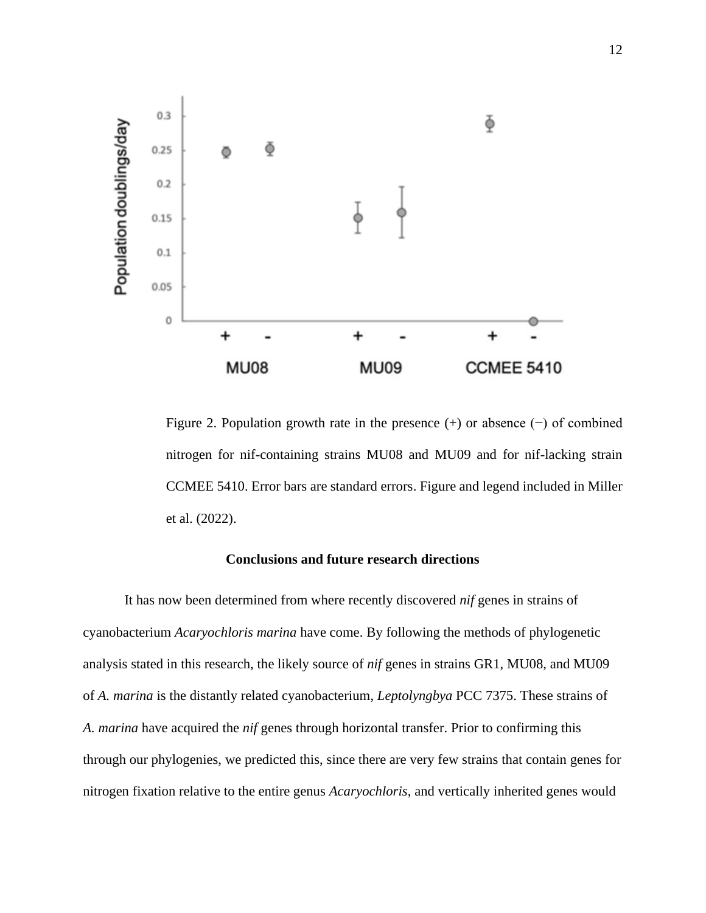

Figure 2. Population growth rate in the presence (+) or absence (−) of combined nitrogen for nif-containing strains MU08 and MU09 and for nif-lacking strain CCMEE 5410. Error bars are standard errors. Figure and legend included in Miller et al. (2022).

# **Conclusions and future research directions**

It has now been determined from where recently discovered *nif* genes in strains of cyanobacterium *Acaryochloris marina* have come. By following the methods of phylogenetic analysis stated in this research, the likely source of *nif* genes in strains GR1, MU08, and MU09 of *A. marina* is the distantly related cyanobacterium, *Leptolyngbya* PCC 7375. These strains of *A. marina* have acquired the *nif* genes through horizontal transfer. Prior to confirming this through our phylogenies, we predicted this, since there are very few strains that contain genes for nitrogen fixation relative to the entire genus *Acaryochloris*, and vertically inherited genes would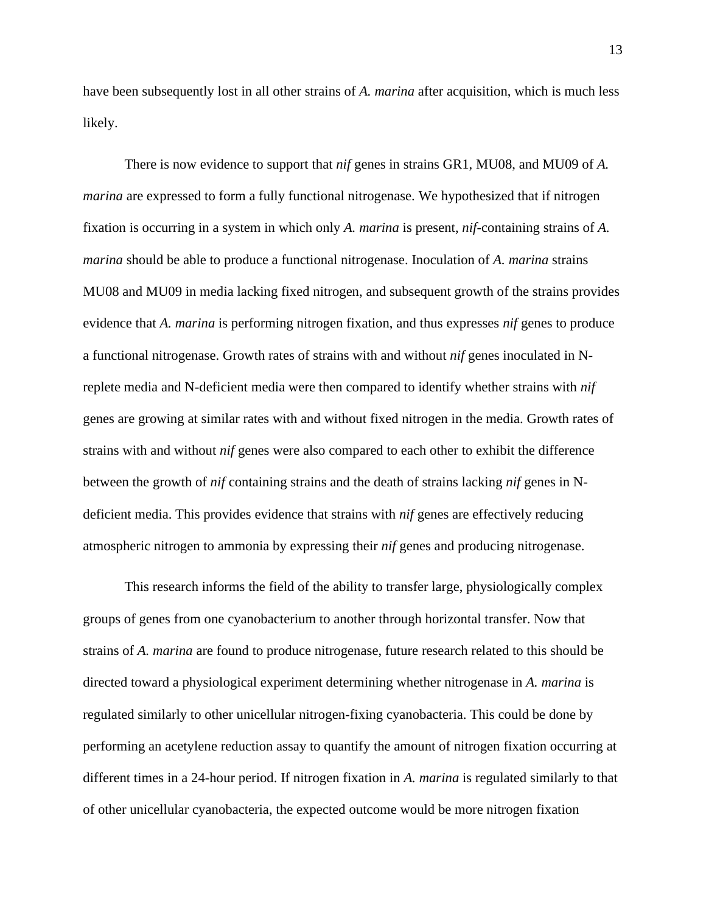have been subsequently lost in all other strains of *A. marina* after acquisition, which is much less likely.

There is now evidence to support that *nif* genes in strains GR1, MU08, and MU09 of *A. marina* are expressed to form a fully functional nitrogenase. We hypothesized that if nitrogen fixation is occurring in a system in which only *A. marina* is present, *nif*-containing strains of *A. marina* should be able to produce a functional nitrogenase. Inoculation of *A. marina* strains MU08 and MU09 in media lacking fixed nitrogen, and subsequent growth of the strains provides evidence that *A. marina* is performing nitrogen fixation, and thus expresses *nif* genes to produce a functional nitrogenase. Growth rates of strains with and without *nif* genes inoculated in Nreplete media and N-deficient media were then compared to identify whether strains with *nif* genes are growing at similar rates with and without fixed nitrogen in the media. Growth rates of strains with and without *nif* genes were also compared to each other to exhibit the difference between the growth of *nif* containing strains and the death of strains lacking *nif* genes in Ndeficient media. This provides evidence that strains with *nif* genes are effectively reducing atmospheric nitrogen to ammonia by expressing their *nif* genes and producing nitrogenase.

This research informs the field of the ability to transfer large, physiologically complex groups of genes from one cyanobacterium to another through horizontal transfer. Now that strains of *A. marina* are found to produce nitrogenase, future research related to this should be directed toward a physiological experiment determining whether nitrogenase in *A. marina* is regulated similarly to other unicellular nitrogen-fixing cyanobacteria. This could be done by performing an acetylene reduction assay to quantify the amount of nitrogen fixation occurring at different times in a 24-hour period. If nitrogen fixation in *A. marina* is regulated similarly to that of other unicellular cyanobacteria, the expected outcome would be more nitrogen fixation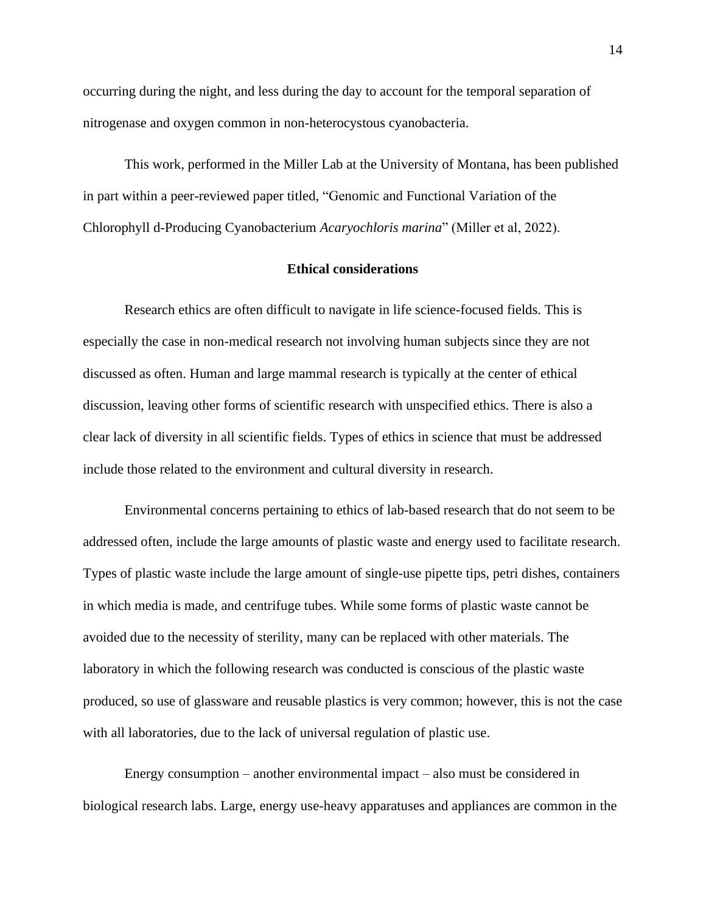occurring during the night, and less during the day to account for the temporal separation of nitrogenase and oxygen common in non-heterocystous cyanobacteria.

This work, performed in the Miller Lab at the University of Montana, has been published in part within a peer-reviewed paper titled, "Genomic and Functional Variation of the Chlorophyll d-Producing Cyanobacterium *Acaryochloris marina*" (Miller et al, 2022).

### **Ethical considerations**

Research ethics are often difficult to navigate in life science-focused fields. This is especially the case in non-medical research not involving human subjects since they are not discussed as often. Human and large mammal research is typically at the center of ethical discussion, leaving other forms of scientific research with unspecified ethics. There is also a clear lack of diversity in all scientific fields. Types of ethics in science that must be addressed include those related to the environment and cultural diversity in research.

Environmental concerns pertaining to ethics of lab-based research that do not seem to be addressed often, include the large amounts of plastic waste and energy used to facilitate research. Types of plastic waste include the large amount of single-use pipette tips, petri dishes, containers in which media is made, and centrifuge tubes. While some forms of plastic waste cannot be avoided due to the necessity of sterility, many can be replaced with other materials. The laboratory in which the following research was conducted is conscious of the plastic waste produced, so use of glassware and reusable plastics is very common; however, this is not the case with all laboratories, due to the lack of universal regulation of plastic use.

Energy consumption – another environmental impact – also must be considered in biological research labs. Large, energy use-heavy apparatuses and appliances are common in the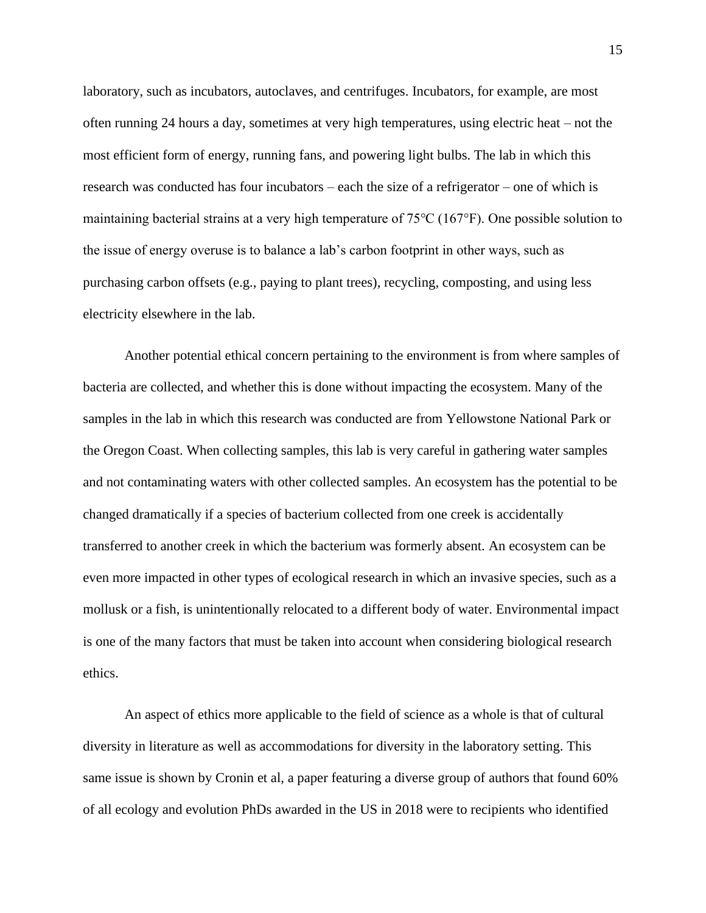laboratory, such as incubators, autoclaves, and centrifuges. Incubators, for example, are most often running 24 hours a day, sometimes at very high temperatures, using electric heat – not the most efficient form of energy, running fans, and powering light bulbs. The lab in which this research was conducted has four incubators – each the size of a refrigerator – one of which is maintaining bacterial strains at a very high temperature of 75℃ (167°F). One possible solution to the issue of energy overuse is to balance a lab's carbon footprint in other ways, such as purchasing carbon offsets (e.g., paying to plant trees), recycling, composting, and using less electricity elsewhere in the lab.

Another potential ethical concern pertaining to the environment is from where samples of bacteria are collected, and whether this is done without impacting the ecosystem. Many of the samples in the lab in which this research was conducted are from Yellowstone National Park or the Oregon Coast. When collecting samples, this lab is very careful in gathering water samples and not contaminating waters with other collected samples. An ecosystem has the potential to be changed dramatically if a species of bacterium collected from one creek is accidentally transferred to another creek in which the bacterium was formerly absent. An ecosystem can be even more impacted in other types of ecological research in which an invasive species, such as a mollusk or a fish, is unintentionally relocated to a different body of water. Environmental impact is one of the many factors that must be taken into account when considering biological research ethics.

An aspect of ethics more applicable to the field of science as a whole is that of cultural diversity in literature as well as accommodations for diversity in the laboratory setting. This same issue is shown by Cronin et al, a paper featuring a diverse group of authors that found 60% of all ecology and evolution PhDs awarded in the US in 2018 were to recipients who identified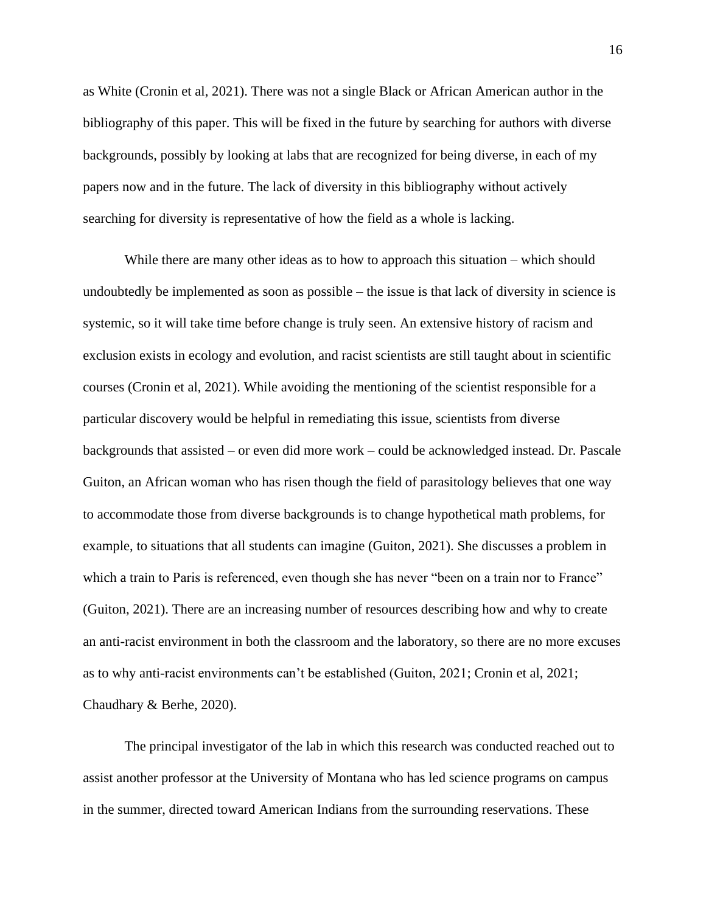as White (Cronin et al, 2021). There was not a single Black or African American author in the bibliography of this paper. This will be fixed in the future by searching for authors with diverse backgrounds, possibly by looking at labs that are recognized for being diverse, in each of my papers now and in the future. The lack of diversity in this bibliography without actively searching for diversity is representative of how the field as a whole is lacking.

While there are many other ideas as to how to approach this situation – which should undoubtedly be implemented as soon as possible – the issue is that lack of diversity in science is systemic, so it will take time before change is truly seen. An extensive history of racism and exclusion exists in ecology and evolution, and racist scientists are still taught about in scientific courses (Cronin et al, 2021). While avoiding the mentioning of the scientist responsible for a particular discovery would be helpful in remediating this issue, scientists from diverse backgrounds that assisted – or even did more work – could be acknowledged instead. Dr. Pascale Guiton, an African woman who has risen though the field of parasitology believes that one way to accommodate those from diverse backgrounds is to change hypothetical math problems, for example, to situations that all students can imagine (Guiton, 2021). She discusses a problem in which a train to Paris is referenced, even though she has never "been on a train nor to France" (Guiton, 2021). There are an increasing number of resources describing how and why to create an anti-racist environment in both the classroom and the laboratory, so there are no more excuses as to why anti-racist environments can't be established (Guiton, 2021; Cronin et al, 2021; Chaudhary & Berhe, 2020).

The principal investigator of the lab in which this research was conducted reached out to assist another professor at the University of Montana who has led science programs on campus in the summer, directed toward American Indians from the surrounding reservations. These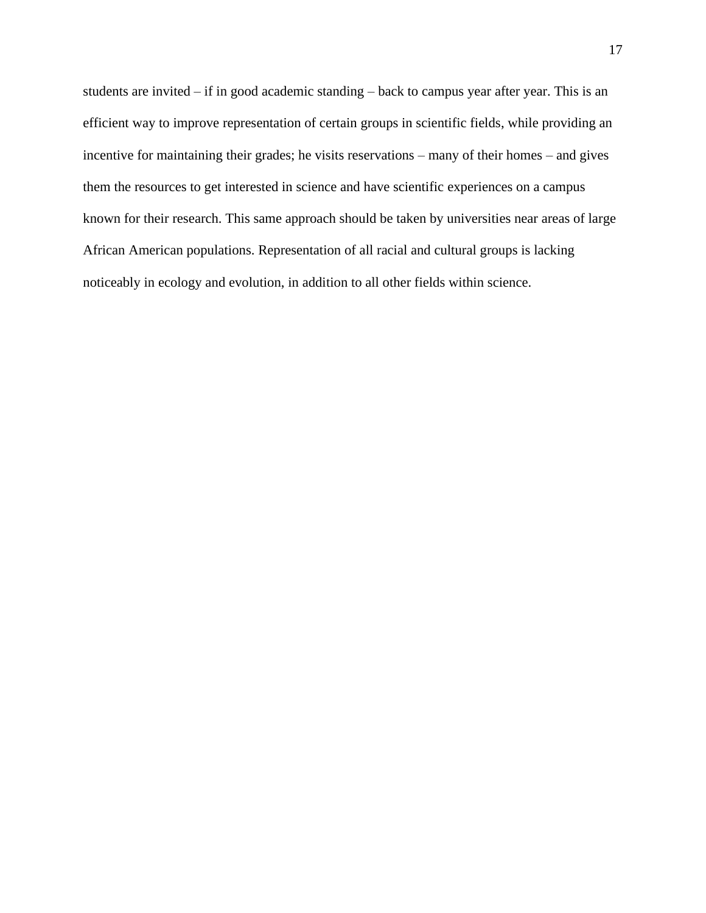students are invited – if in good academic standing – back to campus year after year. This is an efficient way to improve representation of certain groups in scientific fields, while providing an incentive for maintaining their grades; he visits reservations – many of their homes – and gives them the resources to get interested in science and have scientific experiences on a campus known for their research. This same approach should be taken by universities near areas of large African American populations. Representation of all racial and cultural groups is lacking noticeably in ecology and evolution, in addition to all other fields within science.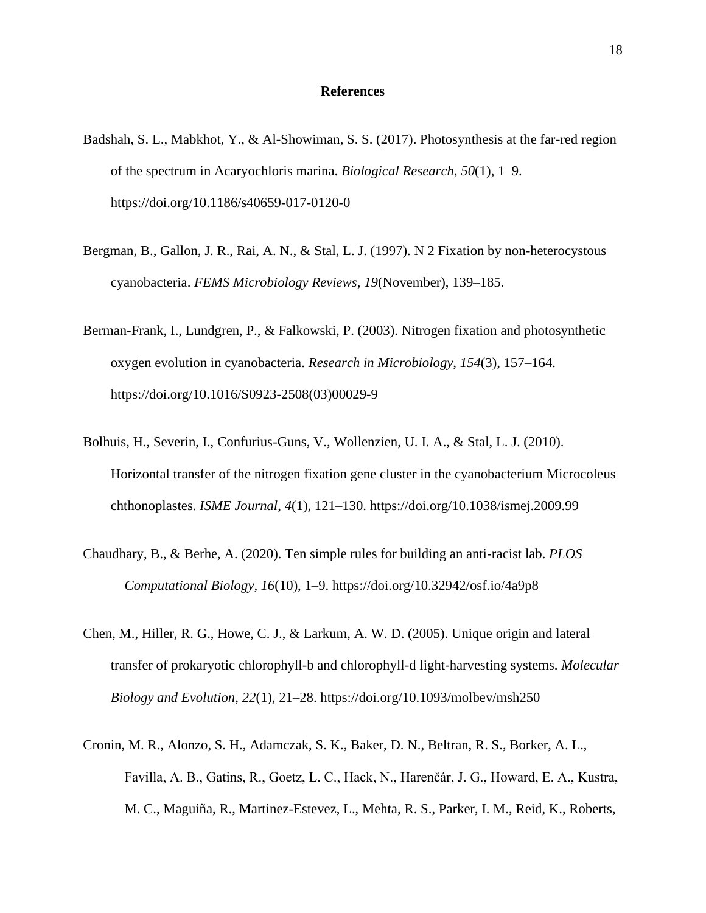### **References**

- Badshah, S. L., Mabkhot, Y., & Al-Showiman, S. S. (2017). Photosynthesis at the far-red region of the spectrum in Acaryochloris marina. *Biological Research*, *50*(1), 1–9. https://doi.org/10.1186/s40659-017-0120-0
- Bergman, B., Gallon, J. R., Rai, A. N., & Stal, L. J. (1997). N 2 Fixation by non-heterocystous cyanobacteria. *FEMS Microbiology Reviews*, *19*(November), 139–185.
- Berman-Frank, I., Lundgren, P., & Falkowski, P. (2003). Nitrogen fixation and photosynthetic oxygen evolution in cyanobacteria. *Research in Microbiology*, *154*(3), 157–164. https://doi.org/10.1016/S0923-2508(03)00029-9
- Bolhuis, H., Severin, I., Confurius-Guns, V., Wollenzien, U. I. A., & Stal, L. J. (2010). Horizontal transfer of the nitrogen fixation gene cluster in the cyanobacterium Microcoleus chthonoplastes. *ISME Journal*, *4*(1), 121–130. https://doi.org/10.1038/ismej.2009.99
- Chaudhary, B., & Berhe, A. (2020). Ten simple rules for building an anti-racist lab. *PLOS Computational Biology, 16*(10), 1–9. https://doi.org/10.32942/osf.io/4a9p8
- Chen, M., Hiller, R. G., Howe, C. J., & Larkum, A. W. D. (2005). Unique origin and lateral transfer of prokaryotic chlorophyll-b and chlorophyll-d light-harvesting systems. *Molecular Biology and Evolution*, *22*(1), 21–28. https://doi.org/10.1093/molbev/msh250
- Cronin, M. R., Alonzo, S. H., Adamczak, S. K., Baker, D. N., Beltran, R. S., Borker, A. L., Favilla, A. B., Gatins, R., Goetz, L. C., Hack, N., Harenčár, J. G., Howard, E. A., Kustra, M. C., Maguiña, R., Martinez-Estevez, L., Mehta, R. S., Parker, I. M., Reid, K., Roberts,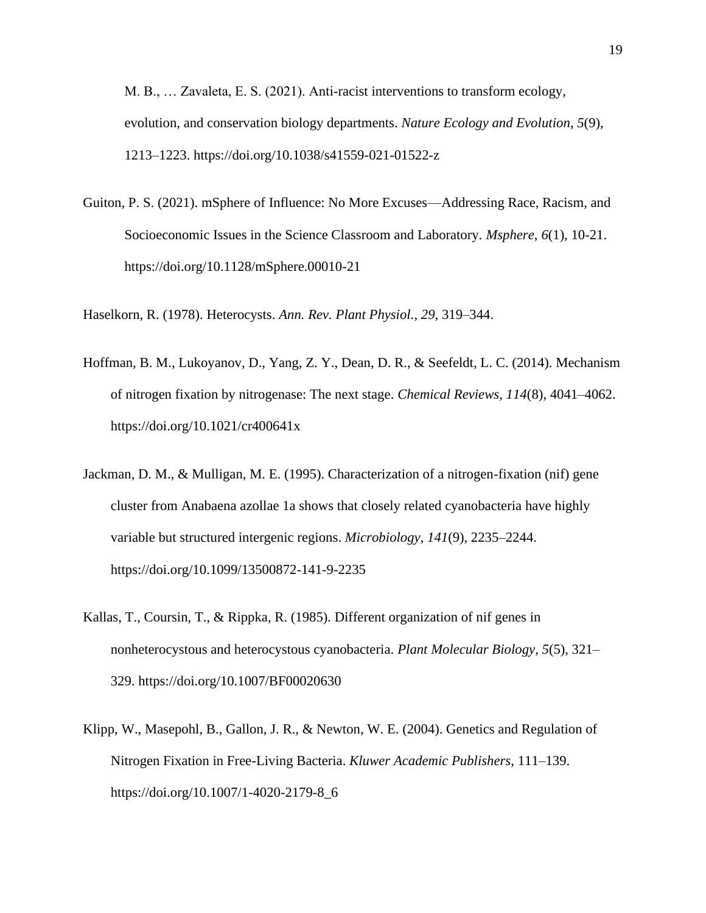M. B., … Zavaleta, E. S. (2021). Anti-racist interventions to transform ecology, evolution, and conservation biology departments. *Nature Ecology and Evolution*, *5*(9), 1213–1223. https://doi.org/10.1038/s41559-021-01522-z

Guiton, P. S. (2021). mSphere of Influence: No More Excuses—Addressing Race, Racism, and Socioeconomic Issues in the Science Classroom and Laboratory. *Msphere*, *6*(1), 10-21. https://doi.org/10.1128/mSphere.00010-21

Haselkorn, R. (1978). Heterocysts. *Ann. Rev. Plant Physiol.*, *29*, 319–344.

- Hoffman, B. M., Lukoyanov, D., Yang, Z. Y., Dean, D. R., & Seefeldt, L. C. (2014). Mechanism of nitrogen fixation by nitrogenase: The next stage. *Chemical Reviews*, *114*(8), 4041–4062. https://doi.org/10.1021/cr400641x
- Jackman, D. M., & Mulligan, M. E. (1995). Characterization of a nitrogen-fixation (nif) gene cluster from Anabaena azollae 1a shows that closely related cyanobacteria have highly variable but structured intergenic regions. *Microbiology*, *141*(9), 2235–2244. https://doi.org/10.1099/13500872-141-9-2235
- Kallas, T., Coursin, T., & Rippka, R. (1985). Different organization of nif genes in nonheterocystous and heterocystous cyanobacteria. *Plant Molecular Biology*, *5*(5), 321– 329. https://doi.org/10.1007/BF00020630
- Klipp, W., Masepohl, B., Gallon, J. R., & Newton, W. E. (2004). Genetics and Regulation of Nitrogen Fixation in Free-Living Bacteria. *Kluwer Academic Publishers*, 111–139. https://doi.org/10.1007/1-4020-2179-8\_6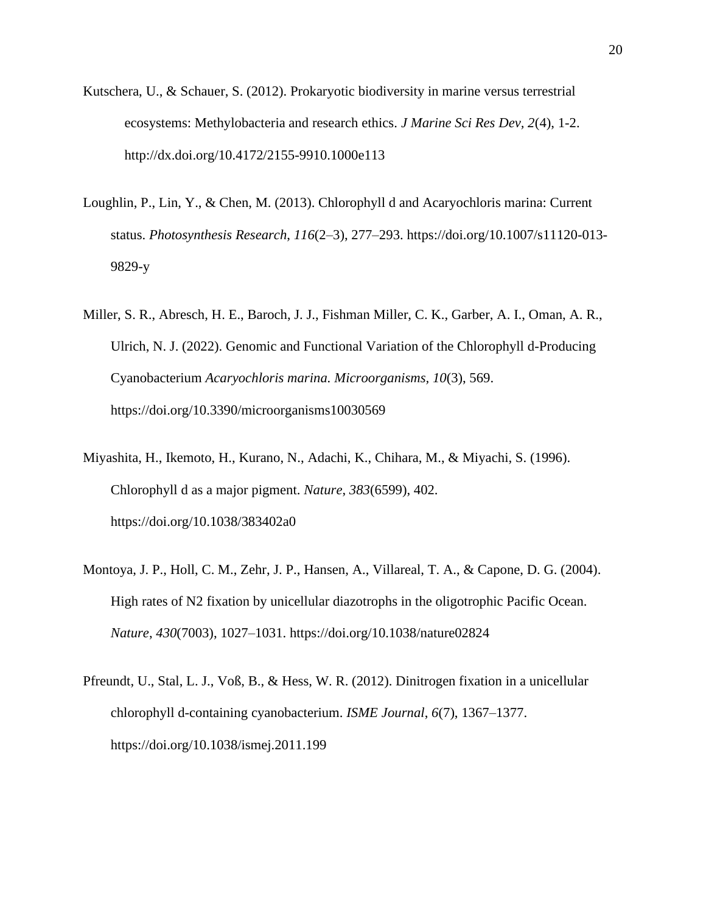- Kutschera, U., & Schauer, S. (2012). Prokaryotic biodiversity in marine versus terrestrial ecosystems: Methylobacteria and research ethics. *J Marine Sci Res Dev, 2*(4), 1-2. http://dx.doi.org/10.4172/2155-9910.1000e113
- Loughlin, P., Lin, Y., & Chen, M. (2013). Chlorophyll d and Acaryochloris marina: Current status. *Photosynthesis Research*, *116*(2–3), 277–293. https://doi.org/10.1007/s11120-013- 9829-y
- Miller, S. R., Abresch, H. E., Baroch, J. J., Fishman Miller, C. K., Garber, A. I., Oman, A. R., Ulrich, N. J. (2022). Genomic and Functional Variation of the Chlorophyll d-Producing Cyanobacterium *Acaryochloris marina. Microorganisms, 10*(3), 569. https://doi.org/10.3390/microorganisms10030569
- Miyashita, H., Ikemoto, H., Kurano, N., Adachi, K., Chihara, M., & Miyachi, S. (1996). Chlorophyll d as a major pigment. *Nature*, *383*(6599), 402. https://doi.org/10.1038/383402a0
- Montoya, J. P., Holl, C. M., Zehr, J. P., Hansen, A., Villareal, T. A., & Capone, D. G. (2004). High rates of N2 fixation by unicellular diazotrophs in the oligotrophic Pacific Ocean. *Nature*, *430*(7003), 1027–1031. https://doi.org/10.1038/nature02824
- Pfreundt, U., Stal, L. J., Voß, B., & Hess, W. R. (2012). Dinitrogen fixation in a unicellular chlorophyll d-containing cyanobacterium. *ISME Journal*, *6*(7), 1367–1377. https://doi.org/10.1038/ismej.2011.199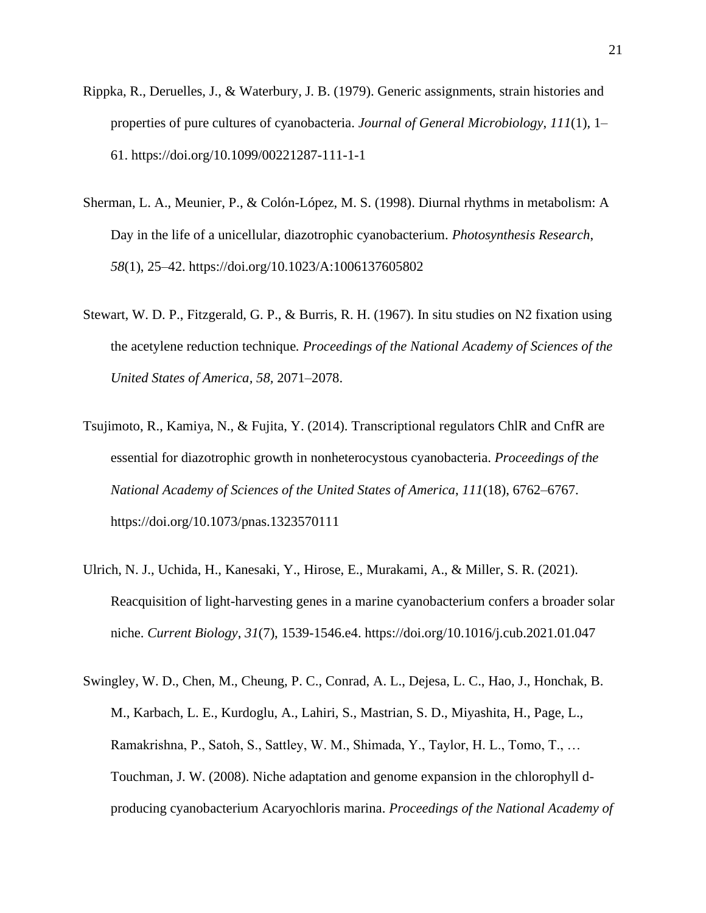- Rippka, R., Deruelles, J., & Waterbury, J. B. (1979). Generic assignments, strain histories and properties of pure cultures of cyanobacteria. *Journal of General Microbiology*, *111*(1), 1– 61. https://doi.org/10.1099/00221287-111-1-1
- Sherman, L. A., Meunier, P., & Colón-López, M. S. (1998). Diurnal rhythms in metabolism: A Day in the life of a unicellular, diazotrophic cyanobacterium. *Photosynthesis Research*, *58*(1), 25–42. https://doi.org/10.1023/A:1006137605802
- Stewart, W. D. P., Fitzgerald, G. P., & Burris, R. H. (1967). In situ studies on N2 fixation using the acetylene reduction technique*. Proceedings of the National Academy of Sciences of the United States of America, 58,* 2071–2078.
- Tsujimoto, R., Kamiya, N., & Fujita, Y. (2014). Transcriptional regulators ChlR and CnfR are essential for diazotrophic growth in nonheterocystous cyanobacteria. *Proceedings of the National Academy of Sciences of the United States of America*, *111*(18), 6762–6767. https://doi.org/10.1073/pnas.1323570111
- Ulrich, N. J., Uchida, H., Kanesaki, Y., Hirose, E., Murakami, A., & Miller, S. R. (2021). Reacquisition of light-harvesting genes in a marine cyanobacterium confers a broader solar niche. *Current Biology*, *31*(7), 1539-1546.e4. https://doi.org/10.1016/j.cub.2021.01.047
- Swingley, W. D., Chen, M., Cheung, P. C., Conrad, A. L., Dejesa, L. C., Hao, J., Honchak, B. M., Karbach, L. E., Kurdoglu, A., Lahiri, S., Mastrian, S. D., Miyashita, H., Page, L., Ramakrishna, P., Satoh, S., Sattley, W. M., Shimada, Y., Taylor, H. L., Tomo, T., … Touchman, J. W. (2008). Niche adaptation and genome expansion in the chlorophyll dproducing cyanobacterium Acaryochloris marina. *Proceedings of the National Academy of*